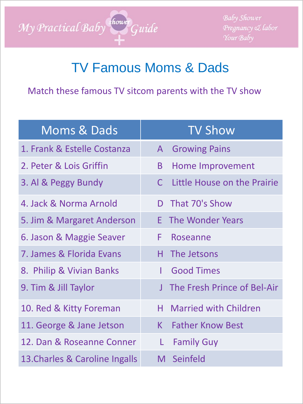

**Baby Shower** Pregnancy & labor

## TV Famous Moms & Dads

Match these famous TV sitcom parents with the TV show

| <b>Moms &amp; Dads</b>         | <b>TV Show</b>                              |  |  |
|--------------------------------|---------------------------------------------|--|--|
| 1. Frank & Estelle Costanza    | <b>Growing Pains</b><br>$\mathsf{A}$        |  |  |
| 2. Peter & Lois Griffin        | Home Improvement<br>B                       |  |  |
| 3. Al & Peggy Bundy            | Little House on the Prairie<br>$\mathsf{C}$ |  |  |
| 4. Jack & Norma Arnold         | That 70's Show<br>D                         |  |  |
| 5. Jim & Margaret Anderson     | The Wonder Years<br>F                       |  |  |
| 6. Jason & Maggie Seaver       | F.<br>Roseanne                              |  |  |
| 7. James & Florida Evans       | The Jetsons<br>H.                           |  |  |
| 8. Philip & Vivian Banks       | <b>Good Times</b><br>L                      |  |  |
| 9. Tim & Jill Taylor           | The Fresh Prince of Bel-Air<br>$\mathsf{J}$ |  |  |
| 10. Red & Kitty Foreman        | <b>Married with Children</b><br>Н.          |  |  |
| 11. George & Jane Jetson       | <b>Father Know Best</b><br>K.               |  |  |
| 12. Dan & Roseanne Conner      | L<br><b>Family Guy</b>                      |  |  |
| 13. Charles & Caroline Ingalls | M Seinfeld                                  |  |  |